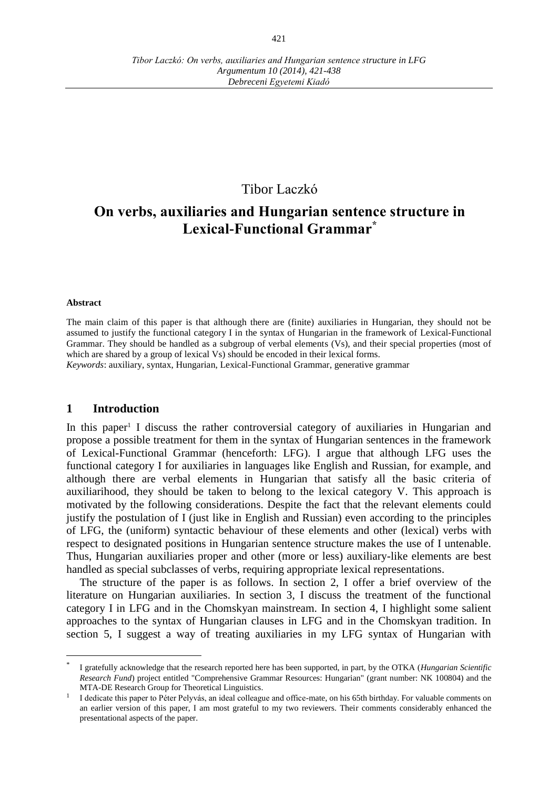# Tibor Laczkó

# **On verbs, auxiliaries and Hungarian sentence structure in Lexical-Functional Grammar\***

#### **Abstract**

The main claim of this paper is that although there are (finite) auxiliaries in Hungarian, they should not be assumed to justify the functional category I in the syntax of Hungarian in the framework of Lexical-Functional Grammar. They should be handled as a subgroup of verbal elements (Vs), and their special properties (most of which are shared by a group of lexical Vs) should be encoded in their lexical forms.

*Keywords*: auxiliary, syntax, Hungarian, Lexical-Functional Grammar, generative grammar

#### **1 Introduction**

In this paper<sup>1</sup> I discuss the rather controversial category of auxiliaries in Hungarian and propose a possible treatment for them in the syntax of Hungarian sentences in the framework of Lexical-Functional Grammar (henceforth: LFG). I argue that although LFG uses the functional category I for auxiliaries in languages like English and Russian, for example, and although there are verbal elements in Hungarian that satisfy all the basic criteria of auxiliarihood, they should be taken to belong to the lexical category V. This approach is motivated by the following considerations. Despite the fact that the relevant elements could justify the postulation of I (just like in English and Russian) even according to the principles of LFG, the (uniform) syntactic behaviour of these elements and other (lexical) verbs with respect to designated positions in Hungarian sentence structure makes the use of I untenable. Thus, Hungarian auxiliaries proper and other (more or less) auxiliary-like elements are best handled as special subclasses of verbs, requiring appropriate lexical representations.

The structure of the paper is as follows. In section 2, I offer a brief overview of the literature on Hungarian auxiliaries. In section 3, I discuss the treatment of the functional category I in LFG and in the Chomskyan mainstream. In section 4, I highlight some salient approaches to the syntax of Hungarian clauses in LFG and in the Chomskyan tradition. In section 5, I suggest a way of treating auxiliaries in my LFG syntax of Hungarian with

<sup>\*</sup> I gratefully acknowledge that the research reported here has been supported, in part, by the OTKA (*Hungarian Scientific Research Fund*) project entitled "Comprehensive Grammar Resources: Hungarian" (grant number: NK 100804) and the MTA-DE Research Group for Theoretical Linguistics.

<sup>&</sup>lt;sup>1</sup> I dedicate this paper to Péter Pelyvás, an ideal colleague and office-mate, on his 65th birthday. For valuable comments on an earlier version of this paper, I am most grateful to my two reviewers. Their comments considerably enhanced the presentational aspects of the paper.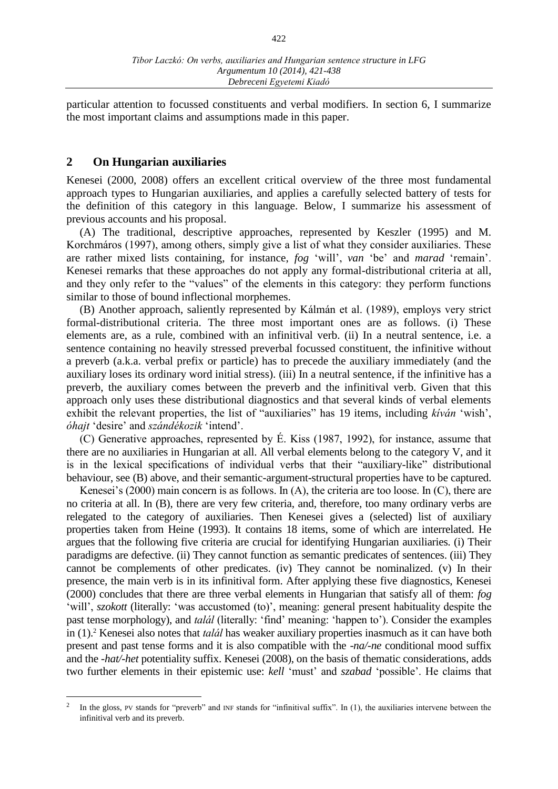particular attention to focussed constituents and verbal modifiers. In section 6, I summarize the most important claims and assumptions made in this paper.

#### **2 On Hungarian auxiliaries**

 $\overline{a}$ 

Kenesei (2000, 2008) offers an excellent critical overview of the three most fundamental approach types to Hungarian auxiliaries, and applies a carefully selected battery of tests for the definition of this category in this language. Below, I summarize his assessment of previous accounts and his proposal.

(A) The traditional, descriptive approaches, represented by Keszler (1995) and M. Korchmáros (1997), among others, simply give a list of what they consider auxiliaries. These are rather mixed lists containing, for instance, *fog* 'will', *van* 'be' and *marad* 'remain'. Kenesei remarks that these approaches do not apply any formal-distributional criteria at all, and they only refer to the "values" of the elements in this category: they perform functions similar to those of bound inflectional morphemes.

(B) Another approach, saliently represented by Kálmán et al. (1989), employs very strict formal-distributional criteria. The three most important ones are as follows. (i) These elements are, as a rule, combined with an infinitival verb. (ii) In a neutral sentence, i.e. a sentence containing no heavily stressed preverbal focussed constituent, the infinitive without a preverb (a.k.a. verbal prefix or particle) has to precede the auxiliary immediately (and the auxiliary loses its ordinary word initial stress). (iii) In a neutral sentence, if the infinitive has a preverb, the auxiliary comes between the preverb and the infinitival verb. Given that this approach only uses these distributional diagnostics and that several kinds of verbal elements exhibit the relevant properties, the list of "auxiliaries" has 19 items, including *kíván* 'wish', *óhajt* 'desire' and *szándékozik* 'intend'.

(C) Generative approaches, represented by É. Kiss (1987, 1992), for instance, assume that there are no auxiliaries in Hungarian at all. All verbal elements belong to the category V, and it is in the lexical specifications of individual verbs that their "auxiliary-like" distributional behaviour, see (B) above, and their semantic-argument-structural properties have to be captured.

Kenesei's (2000) main concern is as follows. In (A), the criteria are too loose. In (C), there are no criteria at all. In (B), there are very few criteria, and, therefore, too many ordinary verbs are relegated to the category of auxiliaries. Then Kenesei gives a (selected) list of auxiliary properties taken from Heine (1993). It contains 18 items, some of which are interrelated. He argues that the following five criteria are crucial for identifying Hungarian auxiliaries. (i) Their paradigms are defective. (ii) They cannot function as semantic predicates of sentences. (iii) They cannot be complements of other predicates. (iv) They cannot be nominalized. (v) In their presence, the main verb is in its infinitival form. After applying these five diagnostics, Kenesei (2000) concludes that there are three verbal elements in Hungarian that satisfy all of them: *fog* 'will', *szokott* (literally: 'was accustomed (to)', meaning: general present habituality despite the past tense morphology), and *talál* (literally: 'find' meaning: 'happen to'). Consider the examples in (1). <sup>2</sup> Kenesei also notes that *talál* has weaker auxiliary properties inasmuch as it can have both present and past tense forms and it is also compatible with the *-na/-ne* conditional mood suffix and the *-hat/-het* potentiality suffix. Kenesei (2008), on the basis of thematic considerations, adds two further elements in their epistemic use: *kell* 'must' and *szabad* 'possible'. He claims that

 $\mathcal{L}$ In the gloss, PV stands for "preverb" and INF stands for "infinitival suffix". In (1), the auxiliaries intervene between the infinitival verb and its preverb.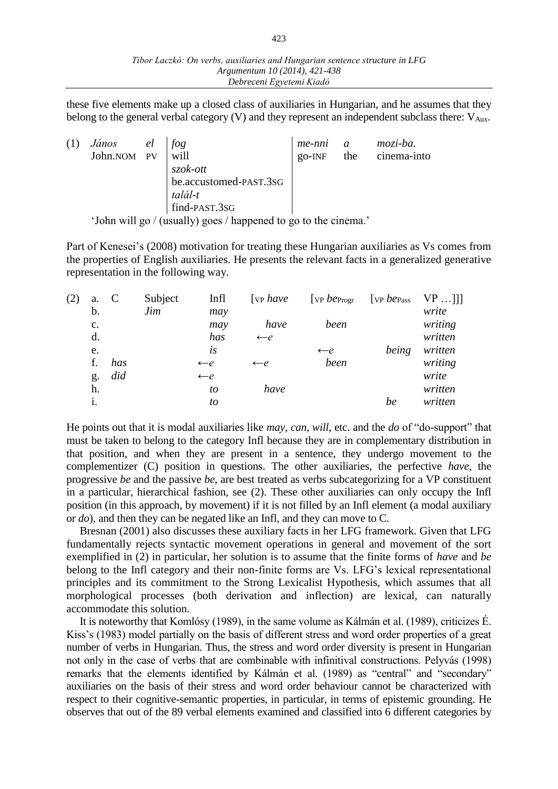these five elements make up a closed class of auxiliaries in Hungarian, and he assumes that they belong to the general verbal category  $(V)$  and they represent an independent subclass there:  $V_{Aux}$ .

|                                                                 | János el fog       |  |                             | me-nni a  |  | mozi-ba.        |
|-----------------------------------------------------------------|--------------------|--|-----------------------------|-----------|--|-----------------|
|                                                                 | John.NOM PV   will |  |                             | $go$ -INF |  | the cinema-into |
|                                                                 |                    |  | szok-ott                    |           |  |                 |
|                                                                 |                    |  | be.accustomed-PAST.3SG      |           |  |                 |
|                                                                 |                    |  |                             |           |  |                 |
|                                                                 |                    |  | $t alál-t$<br>find-PAST.3SG |           |  |                 |
| 'John will go / (usually) goes / happened to go to the cinema.' |                    |  |                             |           |  |                 |

Part of Kenesei's (2008) motivation for treating these Hungarian auxiliaries as Vs comes from the properties of English auxiliaries. He presents the relevant facts in a generalized generative representation in the following way.

| (2) | a.             | C   | Subject | Infl           | $[$ vp <i>have</i> | [ $VP$ $be_{Progr}$ ] | [ $VP$ $be$ $P$ ass | $VP$ ]] |
|-----|----------------|-----|---------|----------------|--------------------|-----------------------|---------------------|---------|
|     | b.             |     | Jim     | may            |                    |                       |                     | write   |
|     | $\mathbf{c}$ . |     |         | may            | have               | been                  |                     | writing |
|     | d.             |     |         | has            | $\leftarrow e$     |                       |                     | written |
|     | e.             |     |         | is             |                    | $\leftarrow e$        | being               | written |
|     | f.             | has |         | $\leftarrow e$ | $\leftarrow e$     | been                  |                     | writing |
|     | g.             | did |         | $\leftarrow e$ |                    |                       |                     | write   |
|     | h.             |     |         | to             | have               |                       |                     | written |
|     | 1.             |     |         | to             |                    |                       | be                  | written |

He points out that it is modal auxiliaries like *may, can, will*, etc. and the *do* of "do-support" that must be taken to belong to the category Infl because they are in complementary distribution in that position, and when they are present in a sentence, they undergo movement to the complementizer (C) position in questions. The other auxiliaries, the perfective *have*, the progressive *be* and the passive *be*, are best treated as verbs subcategorizing for a VP constituent in a particular, hierarchical fashion, see (2). These other auxiliaries can only occupy the Infl position (in this approach, by movement) if it is not filled by an Infl element (a modal auxiliary or *do*), and then they can be negated like an Infl, and they can move to C.

Bresnan (2001) also discusses these auxiliary facts in her LFG framework. Given that LFG fundamentally rejects syntactic movement operations in general and movement of the sort exemplified in (2) in particular, her solution is to assume that the finite forms of *have* and *be*  belong to the Infl category and their non-finite forms are Vs. LFG's lexical representational principles and its commitment to the Strong Lexicalist Hypothesis, which assumes that all morphological processes (both derivation and inflection) are lexical, can naturally accommodate this solution.

It is noteworthy that Komlósy (1989), in the same volume as Kálmán et al. (1989), criticizes É. Kiss's (1983) model partially on the basis of different stress and word order properties of a great number of verbs in Hungarian. Thus, the stress and word order diversity is present in Hungarian not only in the case of verbs that are combinable with infinitival constructions. Pelyvás (1998) remarks that the elements identified by Kálmán et al. (1989) as "central" and "secondary" auxiliaries on the basis of their stress and word order behaviour cannot be characterized with respect to their cognitive-semantic properties, in particular, in terms of epistemic grounding. He observes that out of the 89 verbal elements examined and classified into 6 different categories by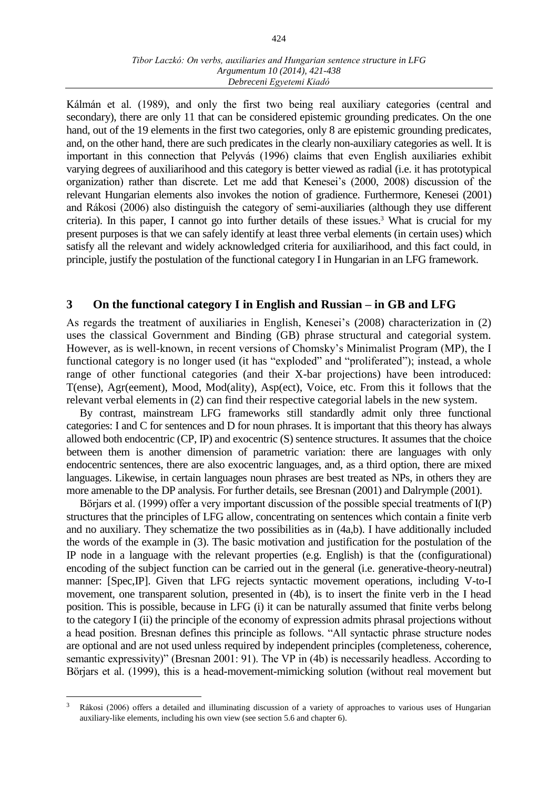Kálmán et al. (1989), and only the first two being real auxiliary categories (central and secondary), there are only 11 that can be considered epistemic grounding predicates. On the one hand, out of the 19 elements in the first two categories, only 8 are epistemic grounding predicates, and, on the other hand, there are such predicates in the clearly non-auxiliary categories as well. It is important in this connection that Pelyvás (1996) claims that even English auxiliaries exhibit varying degrees of auxiliarihood and this category is better viewed as radial (i.e. it has prototypical organization) rather than discrete. Let me add that Kenesei's (2000, 2008) discussion of the relevant Hungarian elements also invokes the notion of gradience. Furthermore, Kenesei (2001) and Rákosi (2006) also distinguish the category of semi-auxiliaries (although they use different criteria). In this paper, I cannot go into further details of these issues.<sup>3</sup> What is crucial for my present purposes is that we can safely identify at least three verbal elements (in certain uses) which satisfy all the relevant and widely acknowledged criteria for auxiliarihood, and this fact could, in principle, justify the postulation of the functional category I in Hungarian in an LFG framework.

#### **3 On the functional category I in English and Russian – in GB and LFG**

As regards the treatment of auxiliaries in English, Kenesei's (2008) characterization in (2) uses the classical Government and Binding (GB) phrase structural and categorial system. However, as is well-known, in recent versions of Chomsky's Minimalist Program (MP), the I functional category is no longer used (it has "exploded" and "proliferated"); instead, a whole range of other functional categories (and their X-bar projections) have been introduced: T(ense), Agr(eement), Mood, Mod(ality), Asp(ect), Voice, etc. From this it follows that the relevant verbal elements in (2) can find their respective categorial labels in the new system.

By contrast, mainstream LFG frameworks still standardly admit only three functional categories: I and C for sentences and D for noun phrases. It is important that this theory has always allowed both endocentric (CP, IP) and exocentric (S) sentence structures. It assumes that the choice between them is another dimension of parametric variation: there are languages with only endocentric sentences, there are also exocentric languages, and, as a third option, there are mixed languages. Likewise, in certain languages noun phrases are best treated as NPs, in others they are more amenable to the DP analysis. For further details, see Bresnan (2001) and Dalrymple (2001).

Börjars et al. (1999) offer a very important discussion of the possible special treatments of I(P) structures that the principles of LFG allow, concentrating on sentences which contain a finite verb and no auxiliary. They schematize the two possibilities as in (4a,b). I have additionally included the words of the example in (3). The basic motivation and justification for the postulation of the IP node in a language with the relevant properties (e.g. English) is that the (configurational) encoding of the subject function can be carried out in the general (i.e. generative-theory-neutral) manner: [Spec,IP]. Given that LFG rejects syntactic movement operations, including V-to-I movement, one transparent solution, presented in (4b), is to insert the finite verb in the I head position. This is possible, because in LFG (i) it can be naturally assumed that finite verbs belong to the category I (ii) the principle of the economy of expression admits phrasal projections without a head position. Bresnan defines this principle as follows. "All syntactic phrase structure nodes are optional and are not used unless required by independent principles (completeness, coherence, semantic expressivity)" (Bresnan 2001: 91). The VP in (4b) is necessarily headless. According to Börjars et al. (1999), this is a head-movement-mimicking solution (without real movement but

<sup>3</sup> Rákosi (2006) offers a detailed and illuminating discussion of a variety of approaches to various uses of Hungarian auxiliary-like elements, including his own view (see section 5.6 and chapter 6).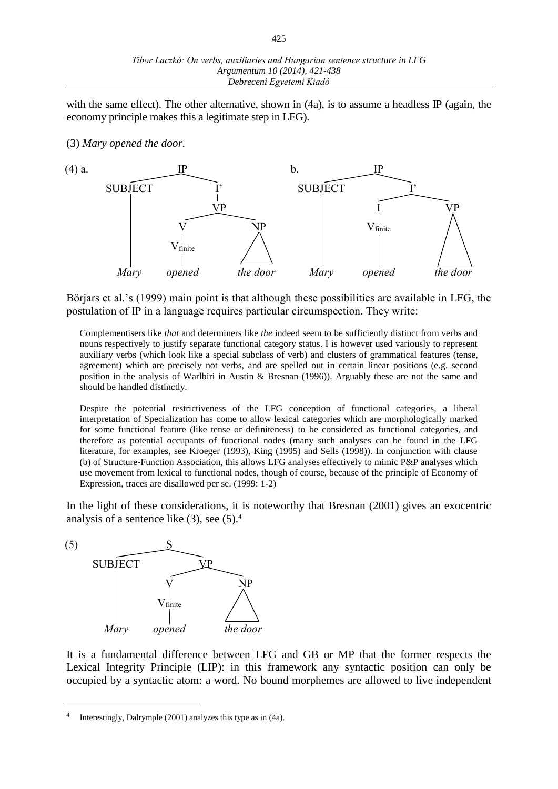with the same effect). The other alternative, shown in (4a), is to assume a headless IP (again, the economy principle makes this a legitimate step in LFG).

(3) *Mary opened the door.*



Börjars et al.'s (1999) main point is that although these possibilities are available in LFG, the postulation of IP in a language requires particular circumspection. They write:

Complementisers like *that* and determiners like *the* indeed seem to be sufficiently distinct from verbs and nouns respectively to justify separate functional category status. I is however used variously to represent auxiliary verbs (which look like a special subclass of verb) and clusters of grammatical features (tense, agreement) which are precisely not verbs, and are spelled out in certain linear positions (e.g. second position in the analysis of Warlbiri in Austin & Bresnan (1996)). Arguably these are not the same and should be handled distinctly.

Despite the potential restrictiveness of the LFG conception of functional categories, a liberal interpretation of Specialization has come to allow lexical categories which are morphologically marked for some functional feature (like tense or definiteness) to be considered as functional categories, and therefore as potential occupants of functional nodes (many such analyses can be found in the LFG literature, for examples, see Kroeger (1993), King (1995) and Sells (1998)). In conjunction with clause (b) of Structure-Function Association, this allows LFG analyses effectively to mimic P&P analyses which use movement from lexical to functional nodes, though of course, because of the principle of Economy of Expression, traces are disallowed per se. (1999: 1-2)

In the light of these considerations, it is noteworthy that Bresnan (2001) gives an exocentric analysis of a sentence like  $(3)$ , see  $(5)$ .<sup>4</sup>



It is a fundamental difference between LFG and GB or MP that the former respects the Lexical Integrity Principle (LIP): in this framework any syntactic position can only be occupied by a syntactic atom: a word. No bound morphemes are allowed to live independent

<sup>4</sup> Interestingly, Dalrymple (2001) analyzes this type as in (4a).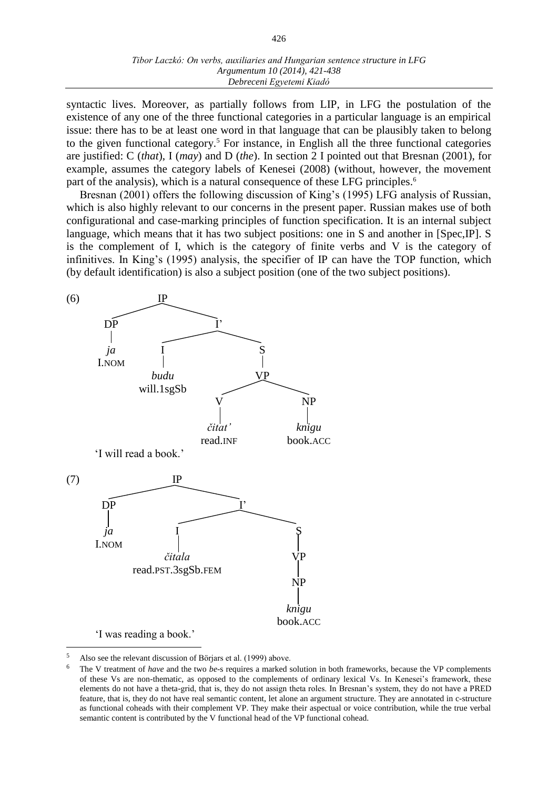syntactic lives. Moreover, as partially follows from LIP, in LFG the postulation of the existence of any one of the three functional categories in a particular language is an empirical issue: there has to be at least one word in that language that can be plausibly taken to belong to the given functional category.<sup>5</sup> For instance, in English all the three functional categories are justified: C (*that*), I (*may*) and D (*the*). In section 2 I pointed out that Bresnan (2001), for example, assumes the category labels of Kenesei (2008) (without, however, the movement part of the analysis), which is a natural consequence of these LFG principles.<sup>6</sup>

Bresnan (2001) offers the following discussion of King's (1995) LFG analysis of Russian, which is also highly relevant to our concerns in the present paper. Russian makes use of both configurational and case-marking principles of function specification. It is an internal subject language, which means that it has two subject positions: one in S and another in [Spec,IP]. S is the complement of I, which is the category of finite verbs and V is the category of infinitives. In King's (1995) analysis, the specifier of IP can have the TOP function, which (by default identification) is also a subject position (one of the two subject positions).



'I was reading a book.'

<sup>5</sup> Also see the relevant discussion of Börjars et al. (1999) above.

<sup>6</sup> The V treatment of *have* and the two *be*-s requires a marked solution in both frameworks, because the VP complements of these Vs are non-thematic, as opposed to the complements of ordinary lexical Vs. In Kenesei's framework, these elements do not have a theta-grid, that is, they do not assign theta roles. In Bresnan's system, they do not have a PRED feature, that is, they do not have real semantic content, let alone an argument structure. They are annotated in c-structure as functional coheads with their complement VP. They make their aspectual or voice contribution, while the true verbal semantic content is contributed by the V functional head of the VP functional cohead.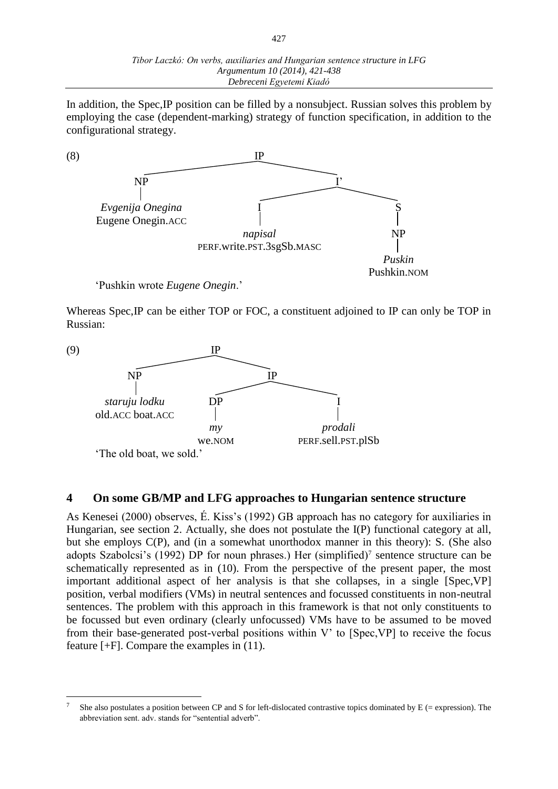In addition, the Spec,IP position can be filled by a nonsubject. Russian solves this problem by employing the case (dependent-marking) strategy of function specification, in addition to the configurational strategy.



'Pushkin wrote *Eugene Onegin*.'

 $\overline{a}$ 

Whereas Spec,IP can be either TOP or FOC, a constituent adjoined to IP can only be TOP in Russian:



## **4 On some GB/MP and LFG approaches to Hungarian sentence structure**

As Kenesei (2000) observes, É. Kiss's (1992) GB approach has no category for auxiliaries in Hungarian, see section 2. Actually, she does not postulate the I(P) functional category at all, but she employs C(P), and (in a somewhat unorthodox manner in this theory): S. (She also adopts Szabolcsi's (1992) DP for noun phrases.) Her (simplified)<sup>7</sup> sentence structure can be schematically represented as in (10). From the perspective of the present paper, the most important additional aspect of her analysis is that she collapses, in a single [Spec,VP] position, verbal modifiers (VMs) in neutral sentences and focussed constituents in non-neutral sentences. The problem with this approach in this framework is that not only constituents to be focussed but even ordinary (clearly unfocussed) VMs have to be assumed to be moved from their base-generated post-verbal positions within V' to [Spec,VP] to receive the focus feature [+F]. Compare the examples in (11).

She also postulates a position between CP and S for left-dislocated contrastive topics dominated by  $E$  (= expression). The abbreviation sent. adv. stands for "sentential adverb".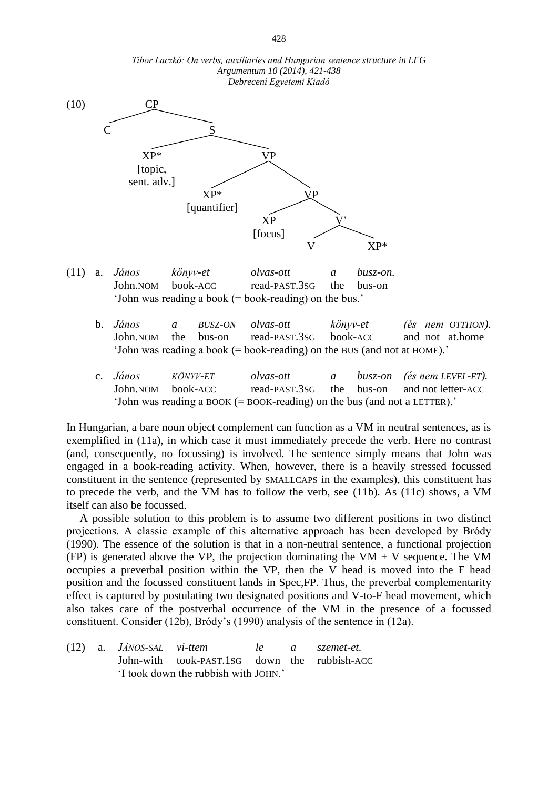

*Tibor Laczkó: On verbs, auxiliaries and Hungarian sentence structure in LFG Argumentum 10 (2014), 421-438*

- (11) a. *János könyv-et olvas-ott a busz-on.* John.NOM book-ACC read-PAST.3SG the bus-on 'John was reading a book (= book-reading) on the bus.'
	- b. *János a BUSZ-ON olvas-ott könyv-et (és nem OTTHON)*. John.NOM the bus-on read-PAST.3SG book-ACC and not at.home 'John was reading a book (= book-reading) on the BUS (and not at HOME).'
	- c. *János KÖNYV-ET olvas-ott a busz-on (és nem LEVEL-ET).* John.NOM book-ACC read-PAST.3SG the bus-on and not letter-ACC 'John was reading a BOOK (= BOOK-reading) on the bus (and not a LETTER).'

In Hungarian, a bare noun object complement can function as a VM in neutral sentences, as is exemplified in (11a), in which case it must immediately precede the verb. Here no contrast (and, consequently, no focussing) is involved. The sentence simply means that John was engaged in a book-reading activity. When, however, there is a heavily stressed focussed constituent in the sentence (represented by SMALLCAPS in the examples), this constituent has to precede the verb, and the VM has to follow the verb, see (11b). As (11c) shows, a VM itself can also be focussed.

A possible solution to this problem is to assume two different positions in two distinct projections. A classic example of this alternative approach has been developed by Bródy (1990). The essence of the solution is that in a non-neutral sentence, a functional projection (FP) is generated above the VP, the projection dominating the VM  $+$  V sequence. The VM occupies a preverbal position within the VP, then the V head is moved into the F head position and the focussed constituent lands in Spec,FP. Thus, the preverbal complementarity effect is captured by postulating two designated positions and V-to-F head movement, which also takes care of the postverbal occurrence of the VM in the presence of a focussed constituent. Consider (12b), Bródy's (1990) analysis of the sentence in (12a).

(12) a. *JÁNOS-SAL vi-ttem le a szemet-et.* John-with took-PAST.1SG down the rubbish-ACC 'I took down the rubbish with JOHN.'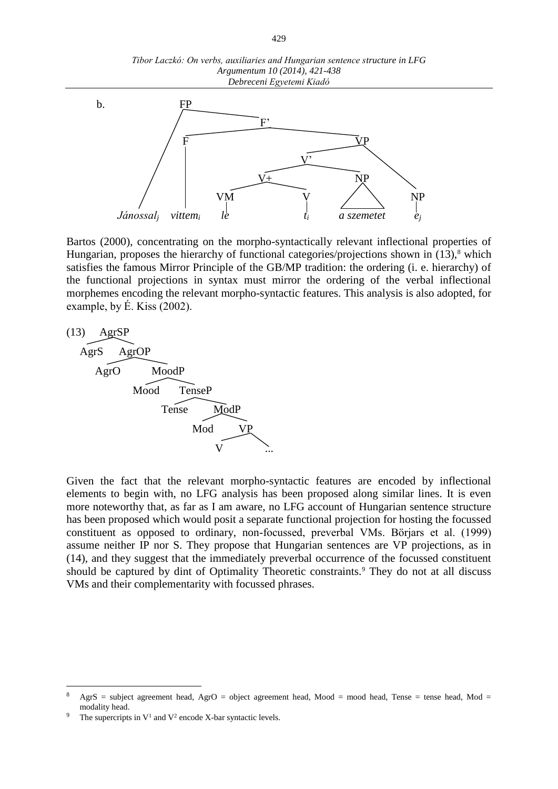*Tibor Laczkó: On verbs, auxiliaries and Hungarian sentence structure in LFG Argumentum 10 (2014), 421-438 Debreceni Egyetemi Kiadó*



Bartos (2000), concentrating on the morpho-syntactically relevant inflectional properties of Hungarian, proposes the hierarchy of functional categories/projections shown in  $(13)$ ,<sup>8</sup> which satisfies the famous Mirror Principle of the GB/MP tradition: the ordering (i. e. hierarchy) of the functional projections in syntax must mirror the ordering of the verbal inflectional morphemes encoding the relevant morpho-syntactic features. This analysis is also adopted, for example, by É. Kiss (2002).



Given the fact that the relevant morpho-syntactic features are encoded by inflectional elements to begin with, no LFG analysis has been proposed along similar lines. It is even more noteworthy that, as far as I am aware, no LFG account of Hungarian sentence structure has been proposed which would posit a separate functional projection for hosting the focussed constituent as opposed to ordinary, non-focussed, preverbal VMs. Börjars et al. (1999) assume neither IP nor S. They propose that Hungarian sentences are VP projections, as in (14), and they suggest that the immediately preverbal occurrence of the focussed constituent should be captured by dint of Optimality Theoretic constraints.<sup>9</sup> They do not at all discuss VMs and their complementarity with focussed phrases.

 $\text{AgrS}$  = subject agreement head,  $\text{AgrO}$  = object agreement head, Mood = mood head, Tense = tense head, Mod = modality head.

<sup>&</sup>lt;sup>9</sup> The supercripts in  $V^1$  and  $V^2$  encode X-bar syntactic levels.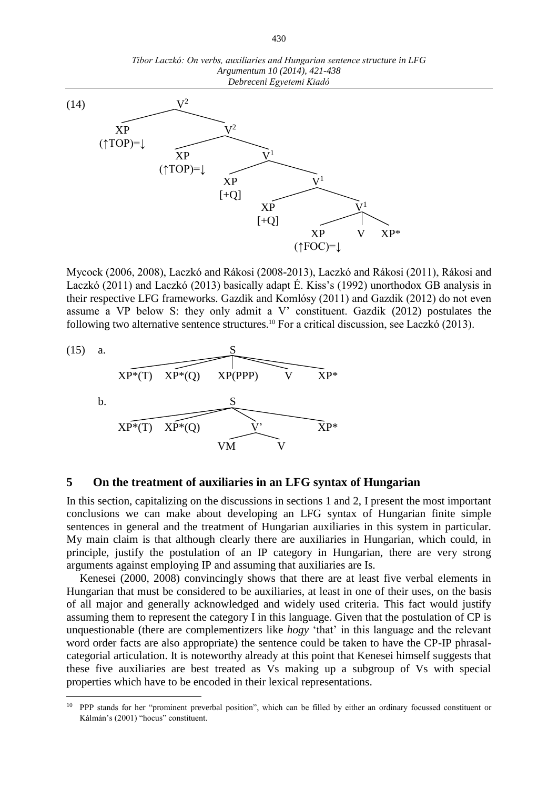

Mycock (2006, 2008), Laczkó and Rákosi (2008-2013), Laczkó and Rákosi (2011), Rákosi and Laczkó (2011) and Laczkó (2013) basically adapt É. Kiss's (1992) unorthodox GB analysis in their respective LFG frameworks. Gazdik and Komlósy (2011) and Gazdik (2012) do not even assume a VP below S: they only admit a V' constituent. Gazdik (2012) postulates the following two alternative sentence structures.<sup>10</sup> For a critical discussion, see Laczkó (2013).



 $\overline{a}$ 

#### **5 On the treatment of auxiliaries in an LFG syntax of Hungarian**

In this section, capitalizing on the discussions in sections 1 and 2, I present the most important conclusions we can make about developing an LFG syntax of Hungarian finite simple sentences in general and the treatment of Hungarian auxiliaries in this system in particular. My main claim is that although clearly there are auxiliaries in Hungarian, which could, in principle, justify the postulation of an IP category in Hungarian, there are very strong arguments against employing IP and assuming that auxiliaries are Is.

Kenesei (2000, 2008) convincingly shows that there are at least five verbal elements in Hungarian that must be considered to be auxiliaries, at least in one of their uses, on the basis of all major and generally acknowledged and widely used criteria. This fact would justify assuming them to represent the category I in this language. Given that the postulation of CP is unquestionable (there are complementizers like *hogy* 'that' in this language and the relevant word order facts are also appropriate) the sentence could be taken to have the CP-IP phrasalcategorial articulation. It is noteworthy already at this point that Kenesei himself suggests that these five auxiliaries are best treated as Vs making up a subgroup of Vs with special properties which have to be encoded in their lexical representations.

<sup>&</sup>lt;sup>10</sup> PPP stands for her "prominent preverbal position", which can be filled by either an ordinary focussed constituent or Kálmán's (2001) "hocus" constituent.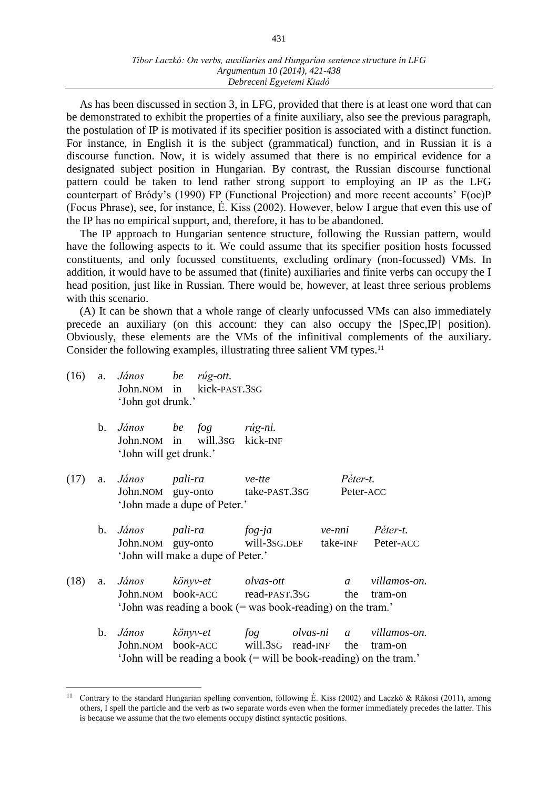As has been discussed in section 3, in LFG, provided that there is at least one word that can be demonstrated to exhibit the properties of a finite auxiliary, also see the previous paragraph, the postulation of IP is motivated if its specifier position is associated with a distinct function. For instance, in English it is the subject (grammatical) function, and in Russian it is a discourse function. Now, it is widely assumed that there is no empirical evidence for a designated subject position in Hungarian. By contrast, the Russian discourse functional pattern could be taken to lend rather strong support to employing an IP as the LFG counterpart of Bródy's (1990) FP (Functional Projection) and more recent accounts' F(oc)P (Focus Phrase), see, for instance, É. Kiss (2002). However, below I argue that even this use of the IP has no empirical support, and, therefore, it has to be abandoned.

The IP approach to Hungarian sentence structure, following the Russian pattern, would have the following aspects to it. We could assume that its specifier position hosts focussed constituents, and only focussed constituents, excluding ordinary (non-focussed) VMs. In addition, it would have to be assumed that (finite) auxiliaries and finite verbs can occupy the I head position, just like in Russian. There would be, however, at least three serious problems with this scenario.

(A) It can be shown that a whole range of clearly unfocussed VMs can also immediately precede an auxiliary (on this account: they can also occupy the [Spec,IP] position). Obviously, these elements are the VMs of the infinitival complements of the auxiliary. Consider the following examples, illustrating three salient VM types.<sup>11</sup>

(16) a. *János be rúg-ott.* John.NOM in kick-PAST.3SG 'John got drunk.'

- b. *János be fog rúg-ni.* John.NOM in will.3SG kick-INF 'John will get drunk.'
- (17) a. *János pali-ra ve-tte Péter-t.* John.NOM guy-onto take-PAST.3SG Peter-ACC 'John made a dupe of Peter.'
	- b. *János pali-ra fog-ja ve-nni Péter-t.* John.NOM guy-onto will-3SG.DEF take-INF Peter-ACC 'John will make a dupe of Peter.'
- (18) a. *János könyv-et olvas-ott a villamos-on.* John.NOM book-ACC read-PAST.3sG the tram-on 'John was reading a book (= was book-reading) on the tram.'
	- b. *János könyv-et fog olvas-ni a villamos-on.* John.NOM book-ACC will.3SG read-INF the tram-on 'John will be reading a book (= will be book-reading) on the tram.'

<sup>&</sup>lt;sup>11</sup> Contrary to the standard Hungarian spelling convention, following É. Kiss (2002) and Laczkó & Rákosi (2011), among others, I spell the particle and the verb as two separate words even when the former immediately precedes the latter. This is because we assume that the two elements occupy distinct syntactic positions.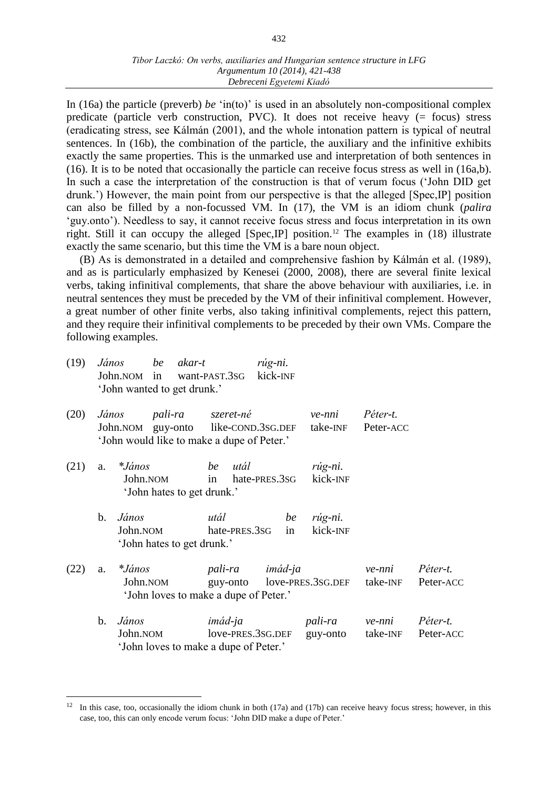In (16a) the particle (preverb) *be* 'in(to)' is used in an absolutely non-compositional complex predicate (particle verb construction, PVC). It does not receive heavy (= focus) stress (eradicating stress, see Kálmán (2001), and the whole intonation pattern is typical of neutral sentences. In (16b), the combination of the particle, the auxiliary and the infinitive exhibits exactly the same properties. This is the unmarked use and interpretation of both sentences in (16). It is to be noted that occasionally the particle can receive focus stress as well in (16a,b). In such a case the interpretation of the construction is that of verum focus ('John DID get drunk.') However, the main point from our perspective is that the alleged [Spec,IP] position can also be filled by a non-focussed VM. In (17), the VM is an idiom chunk (*palira*  'guy.onto'). Needless to say, it cannot receive focus stress and focus interpretation in its own right. Still it can occupy the alleged  $[Spec,IP]$  position.<sup>12</sup> The examples in (18) illustrate exactly the same scenario, but this time the VM is a bare noun object.

(B) As is demonstrated in a detailed and comprehensive fashion by Kálmán et al. (1989), and as is particularly emphasized by Kenesei (2000, 2008), there are several finite lexical verbs, taking infinitival complements, that share the above behaviour with auxiliaries, i.e. in neutral sentences they must be preceded by the VM of their infinitival complement. However, a great number of other finite verbs, also taking infinitival complements, reject this pattern, and they require their infinitival complements to be preceded by their own VMs. Compare the following examples.

| (19) | János<br>'John wanted to get drunk.' | be akar-t<br>John.nom in want-PAST.3sG                                                                                    | rúg-ni.<br>kick-INF |                     |                                               |                                |
|------|--------------------------------------|---------------------------------------------------------------------------------------------------------------------------|---------------------|---------------------|-----------------------------------------------|--------------------------------|
| (20) | János                                | <i>pali-ra szeret-né</i><br>John. NOM guy-onto like-COND. 3SG. DEF take-INF<br>'John would like to make a dupe of Peter.' |                     | ve-nni              | Péter-t.<br>Peter-ACC                         |                                |
| (21) | a. $*János$<br>John.NOM              | be utál<br>in<br>'John hates to get drunk.'                                                                               | hate-PRES.3SG       | rúg-ni.<br>kick-INF |                                               |                                |
|      | János<br>$\mathbf b$ .<br>John.NOM   | utál<br>hate-PRES.3SG<br>'John hates to get drunk.'                                                                       | be<br>in            | rúg-ni.<br>kick-INF |                                               |                                |
| (22) | <i>*János</i><br>a.<br>John.NOM      | 'John loves to make a dupe of Peter.'                                                                                     | pali-ra imád-ja     |                     | ve-nni<br>guy-onto love-PRES.3SG.DEF take-INF | Péter-t.<br>Peter-ACC          |
|      | János<br>$\mathbf b$ .<br>John.NOM   | imád-ja<br>love-PRES.3SG.DEF<br>'John loves to make a dupe of Peter.'                                                     |                     | guy-onto            | pali-ra ve-nni                                | Péter-t.<br>take-INF Peter-ACC |

 $12$  In this case, too, occasionally the idiom chunk in both (17a) and (17b) can receive heavy focus stress; however, in this case, too, this can only encode verum focus: 'John DID make a dupe of Peter.'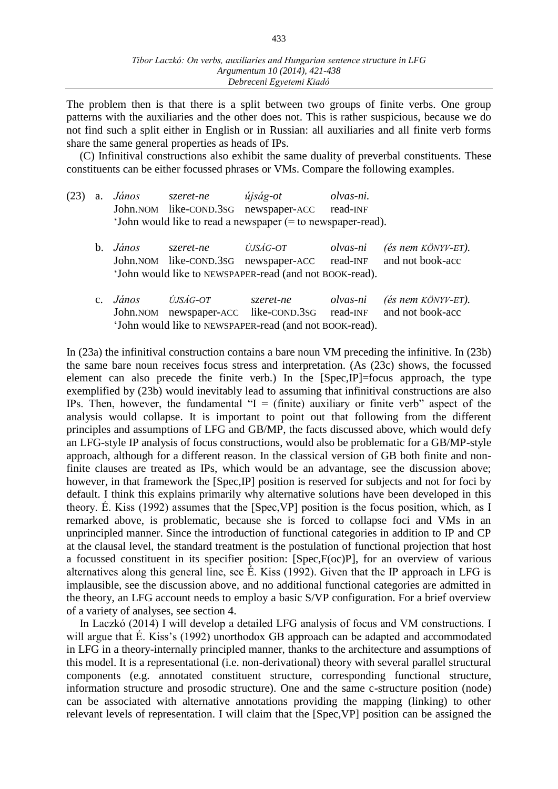The problem then is that there is a split between two groups of finite verbs. One group patterns with the auxiliaries and the other does not. This is rather suspicious, because we do not find such a split either in English or in Russian: all auxiliaries and all finite verb forms share the same general properties as heads of IPs.

(C) Infinitival constructions also exhibit the same duality of preverbal constituents. These constituents can be either focussed phrases or VMs. Compare the following examples.

|  | $(23)$ a. <i>János</i>                                        | szeret-ne | újság-ot                                        | olvas-ni. |
|--|---------------------------------------------------------------|-----------|-------------------------------------------------|-----------|
|  |                                                               |           | John. NOM like-COND. 3sG newspaper-ACC read-INF |           |
|  | 'John would like to read a newspaper $(=$ to newspaper-read). |           |                                                 |           |

| b. <i>János</i>                                         | szeret-ne | ÚJSÁG-OT |  | olvas-ni (és nem KÖNYV-ET).                                      |
|---------------------------------------------------------|-----------|----------|--|------------------------------------------------------------------|
|                                                         |           |          |  | John. NOM like-COND. 3SG newspaper-ACC read-INF and not book-acc |
| 'John would like to NEWSPAPER-read (and not BOOK-read). |           |          |  |                                                                  |

| c. <i>János</i>                                         | ÚJSÁG-OT | szeret-ne |  | olvas-ni (és nem KÖNYV-ET).                                      |
|---------------------------------------------------------|----------|-----------|--|------------------------------------------------------------------|
|                                                         |          |           |  | John. NOM newspaper-ACC like-COND. 3SG read-INF and not book-acc |
| 'John would like to NEWSPAPER-read (and not BOOK-read). |          |           |  |                                                                  |

In (23a) the infinitival construction contains a bare noun VM preceding the infinitive. In (23b) the same bare noun receives focus stress and interpretation. (As (23c) shows, the focussed element can also precede the finite verb.) In the [Spec,IP]=focus approach, the type exemplified by (23b) would inevitably lead to assuming that infinitival constructions are also IPs. Then, however, the fundamental " $I = (finite)$  auxiliary or finite verb" aspect of the analysis would collapse. It is important to point out that following from the different principles and assumptions of LFG and GB/MP, the facts discussed above, which would defy an LFG-style IP analysis of focus constructions, would also be problematic for a GB/MP-style approach, although for a different reason. In the classical version of GB both finite and nonfinite clauses are treated as IPs, which would be an advantage, see the discussion above; however, in that framework the [Spec, IP] position is reserved for subjects and not for foci by default. I think this explains primarily why alternative solutions have been developed in this theory. É. Kiss (1992) assumes that the [Spec,VP] position is the focus position, which, as I remarked above, is problematic, because she is forced to collapse foci and VMs in an unprincipled manner. Since the introduction of functional categories in addition to IP and CP at the clausal level, the standard treatment is the postulation of functional projection that host a focussed constituent in its specifier position: [Spec,F(oc)P], for an overview of various alternatives along this general line, see É. Kiss (1992). Given that the IP approach in LFG is implausible, see the discussion above, and no additional functional categories are admitted in the theory, an LFG account needs to employ a basic S/VP configuration. For a brief overview of a variety of analyses, see section 4.

In Laczkó (2014) I will develop a detailed LFG analysis of focus and VM constructions. I will argue that É. Kiss's (1992) unorthodox GB approach can be adapted and accommodated in LFG in a theory-internally principled manner, thanks to the architecture and assumptions of this model. It is a representational (i.e. non-derivational) theory with several parallel structural components (e.g. annotated constituent structure, corresponding functional structure, information structure and prosodic structure). One and the same c-structure position (node) can be associated with alternative annotations providing the mapping (linking) to other relevant levels of representation. I will claim that the [Spec,VP] position can be assigned the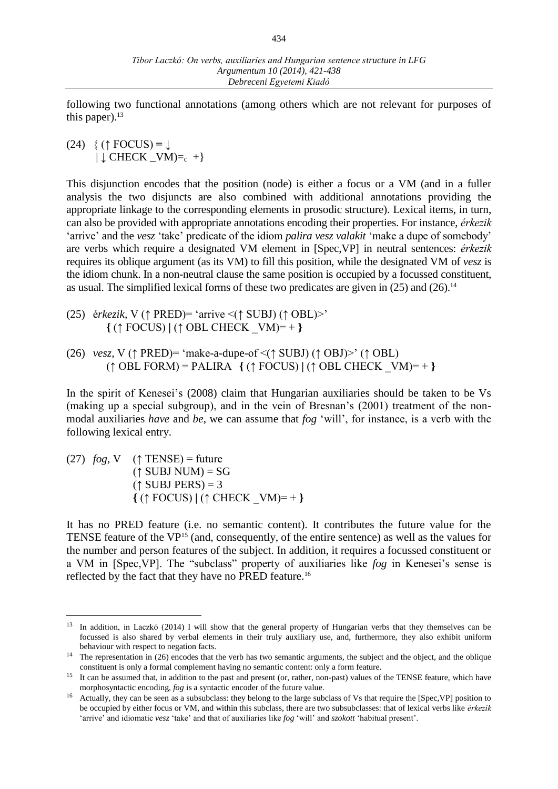following two functional annotations (among others which are not relevant for purposes of this paper). 13

 $(24)$  { ( $\uparrow$  FOCUS) =  $\downarrow$ | **↓** CHECK \_VM)=c +}

This disjunction encodes that the position (node) is either a focus or a VM (and in a fuller analysis the two disjuncts are also combined with additional annotations providing the appropriate linkage to the corresponding elements in prosodic structure). Lexical items, in turn, can also be provided with appropriate annotations encoding their properties. For instance, *érkezik*  'arrive' and the *vesz* 'take' predicate of the idiom *palira vesz valakit* 'make a dupe of somebody' are verbs which require a designated VM element in [Spec,VP] in neutral sentences: *érkezik* requires its oblique argument (as its VM) to fill this position, while the designated VM of *vesz* is the idiom chunk. In a non-neutral clause the same position is occupied by a focussed constituent, as usual. The simplified lexical forms of these two predicates are given in  $(25)$  and  $(26)$ .<sup>14</sup>

- (25) é*rkezik,* V (↑ PRED)= 'arrive <(↑ SUBJ) (↑ OBL)>' **{** (↑ FOCUS) **|** (↑ OBL CHECK \_VM)= + **}**
- (26) *vesz,* V (↑ PRED)= 'make-a-dupe-of <(↑ SUBJ) (↑ OBJ)>' (↑ OBL) (↑ OBL FORM) = PALIRA **{** (↑ FOCUS) **|** (↑ OBL CHECK \_VM)= + **}**

In the spirit of Kenesei's (2008) claim that Hungarian auxiliaries should be taken to be Vs (making up a special subgroup), and in the vein of Bresnan's (2001) treatment of the nonmodal auxiliaries *have* and *be*, we can assume that *fog* 'will', for instance, is a verb with the following lexical entry.

(27)  $fog$ , V (↑ TENSE) = future  $(†$  SUBJ NUM) = SG  $($  $\uparrow$  SUBJ PERS) = 3 **{** (↑ FOCUS) **|** (↑ CHECK \_VM)= + **}**

 $\overline{a}$ 

It has no PRED feature (i.e. no semantic content). It contributes the future value for the TENSE feature of the VP<sup>15</sup> (and, consequently, of the entire sentence) as well as the values for the number and person features of the subject. In addition, it requires a focussed constituent or a VM in [Spec,VP]. The "subclass" property of auxiliaries like *fog* in Kenesei's sense is reflected by the fact that they have no PRED feature.<sup>16</sup>

<sup>&</sup>lt;sup>13</sup> In addition, in Laczkó (2014) I will show that the general property of Hungarian verbs that they themselves can be focussed is also shared by verbal elements in their truly auxiliary use, and, furthermore, they also exhibit uniform behaviour with respect to negation facts.

<sup>&</sup>lt;sup>14</sup> The representation in (26) encodes that the verb has two semantic arguments, the subject and the object, and the oblique constituent is only a formal complement having no semantic content: only a form feature.

<sup>&</sup>lt;sup>15</sup> It can be assumed that, in addition to the past and present (or, rather, non-past) values of the TENSE feature, which have morphosyntactic encoding, *fog* is a syntactic encoder of the future value.

<sup>&</sup>lt;sup>16</sup> Actually, they can be seen as a subsubclass: they belong to the large subclass of Vs that require the [Spec,VP] position to be occupied by either focus or VM, and within this subclass, there are two subsubclasses: that of lexical verbs like *érkezik* 'arrive' and idiomatic *vesz* 'take' and that of auxiliaries like *fog* 'will' and *szokott* 'habitual present'.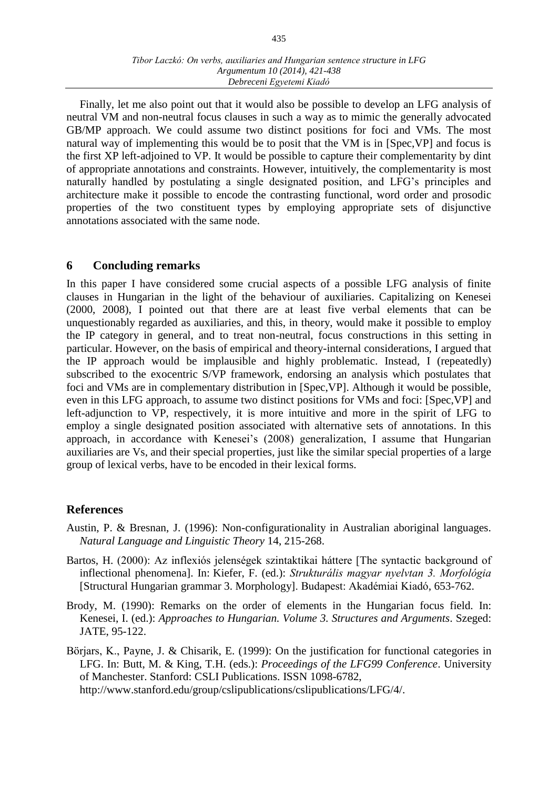Finally, let me also point out that it would also be possible to develop an LFG analysis of neutral VM and non-neutral focus clauses in such a way as to mimic the generally advocated GB/MP approach. We could assume two distinct positions for foci and VMs. The most natural way of implementing this would be to posit that the VM is in [Spec,VP] and focus is the first XP left-adjoined to VP. It would be possible to capture their complementarity by dint of appropriate annotations and constraints. However, intuitively, the complementarity is most naturally handled by postulating a single designated position, and LFG's principles and architecture make it possible to encode the contrasting functional, word order and prosodic properties of the two constituent types by employing appropriate sets of disjunctive annotations associated with the same node.

## **6 Concluding remarks**

In this paper I have considered some crucial aspects of a possible LFG analysis of finite clauses in Hungarian in the light of the behaviour of auxiliaries. Capitalizing on Kenesei (2000, 2008), I pointed out that there are at least five verbal elements that can be unquestionably regarded as auxiliaries, and this, in theory, would make it possible to employ the IP category in general, and to treat non-neutral, focus constructions in this setting in particular. However, on the basis of empirical and theory-internal considerations, I argued that the IP approach would be implausible and highly problematic. Instead, I (repeatedly) subscribed to the exocentric S/VP framework, endorsing an analysis which postulates that foci and VMs are in complementary distribution in [Spec,VP]. Although it would be possible, even in this LFG approach, to assume two distinct positions for VMs and foci: [Spec,VP] and left-adjunction to VP, respectively, it is more intuitive and more in the spirit of LFG to employ a single designated position associated with alternative sets of annotations. In this approach, in accordance with Kenesei's (2008) generalization, I assume that Hungarian auxiliaries are Vs, and their special properties, just like the similar special properties of a large group of lexical verbs, have to be encoded in their lexical forms.

## **References**

- Austin, P. & Bresnan, J. (1996): Non-configurationality in Australian aboriginal languages. *Natural Language and Linguistic Theory* 14, 215-268.
- Bartos, H. (2000): Az inflexiós jelenségek szintaktikai háttere [The syntactic background of inflectional phenomena]. In: Kiefer, F. (ed.): *Strukturális magyar nyelvtan 3. Morfológia*  [Structural Hungarian grammar 3. Morphology]. Budapest: Akadémiai Kiadó, 653-762.
- Brody, M. (1990): Remarks on the order of elements in the Hungarian focus field. In: Kenesei, I. (ed.): *Approaches to Hungarian. Volume 3. Structures and Arguments*. Szeged: JATE, 95-122.
- Börjars, K., Payne, J. & Chisarik, E. (1999): On the justification for functional categories in LFG. In: Butt, M. & King, T.H. (eds.): *Proceedings of the LFG99 Conference*. University of Manchester. Stanford: CSLI Publications. ISSN 1098-6782, http://www.stanford.edu/group/cslipublications/cslipublications/LFG/4/.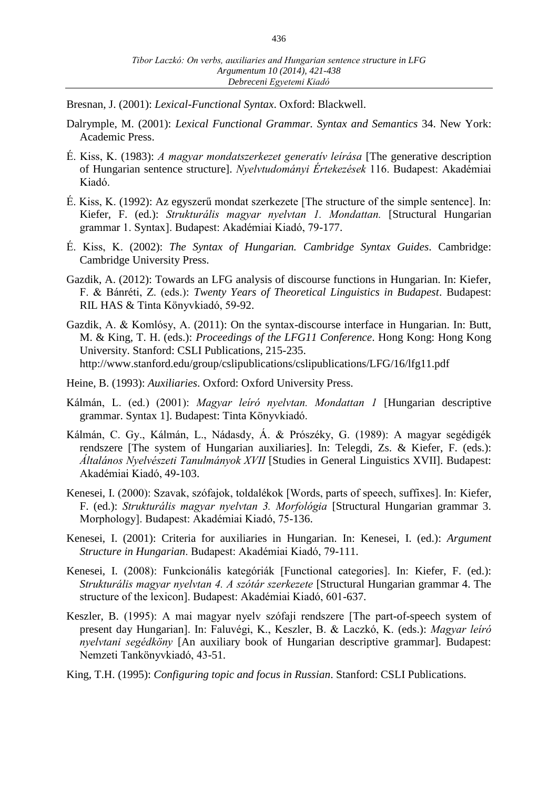Bresnan, J. (2001): *Lexical-Functional Syntax*. Oxford: Blackwell.

- Dalrymple, M. (2001): *Lexical Functional Grammar. Syntax and Semantics* 34. New York: Academic Press.
- É. Kiss, K. (1983): *A magyar mondatszerkezet generatív leírása* [The generative description of Hungarian sentence structure]. *Nyelvtudományi Értekezések* 116. Budapest: Akadémiai Kiadó.
- É. Kiss, K. (1992): Az egyszerű mondat szerkezete [The structure of the simple sentence]. In: Kiefer, F. (ed.): *Strukturális magyar nyelvtan 1. Mondattan.* [Structural Hungarian grammar 1. Syntax]. Budapest: Akadémiai Kiadó, 79-177.
- É. Kiss, K. (2002): *The Syntax of Hungarian. Cambridge Syntax Guides*. Cambridge: Cambridge University Press.
- Gazdik, A. (2012): Towards an LFG analysis of discourse functions in Hungarian. In: Kiefer, F. & Bánréti, Z. (eds.): *Twenty Years of Theoretical Linguistics in Budapest*. Budapest: RIL HAS & Tinta Könyvkiadó, 59-92.
- Gazdik, A. & Komlósy, A. (2011): On the syntax-discourse interface in Hungarian. In: Butt, M. & King, T. H. (eds.): *Proceedings of the LFG11 Conference*. Hong Kong: Hong Kong University. Stanford: CSLI Publications, 215-235. http://www.stanford.edu/group/cslipublications/cslipublications/LFG/16/lfg11.pdf
- Heine, B. (1993): *Auxiliaries*. Oxford: Oxford University Press.
- Kálmán, L. (ed.) (2001): *Magyar leíró nyelvtan. Mondattan 1* [Hungarian descriptive grammar. Syntax 1]. Budapest: Tinta Könyvkiadó.
- Kálmán, C. Gy., Kálmán, L., Nádasdy, Á. & Prószéky, G. (1989): A magyar segédigék rendszere [The system of Hungarian auxiliaries]. In: Telegdi, Zs. & Kiefer, F. (eds.): *Általános Nyelvészeti Tanulmányok XVII* [Studies in General Linguistics XVII]. Budapest: Akadémiai Kiadó, 49-103.
- Kenesei, I. (2000): Szavak, szófajok, toldalékok [Words, parts of speech, suffixes]. In: Kiefer, F. (ed.): *Strukturális magyar nyelvtan 3. Morfológia* [Structural Hungarian grammar 3. Morphology]. Budapest: Akadémiai Kiadó, 75-136.
- Kenesei, I. (2001): Criteria for auxiliaries in Hungarian. In: Kenesei, I. (ed.): *Argument Structure in Hungarian*. Budapest: Akadémiai Kiadó, 79-111.
- Kenesei, I. (2008): Funkcionális kategóriák [Functional categories]. In: Kiefer, F. (ed.): *Strukturális magyar nyelvtan 4. A szótár szerkezete* [Structural Hungarian grammar 4. The structure of the lexicon]. Budapest: Akadémiai Kiadó, 601-637.
- Keszler, B. (1995): A mai magyar nyelv szófaji rendszere [The part-of-speech system of present day Hungarian]. In: Faluvégi, K., Keszler, B. & Laczkó, K. (eds.): *Magyar leíró nyelvtani segédköny* [An auxiliary book of Hungarian descriptive grammar]. Budapest: Nemzeti Tankönyvkiadó, 43-51.
- King, T.H. (1995): *Configuring topic and focus in Russian*. Stanford: CSLI Publications.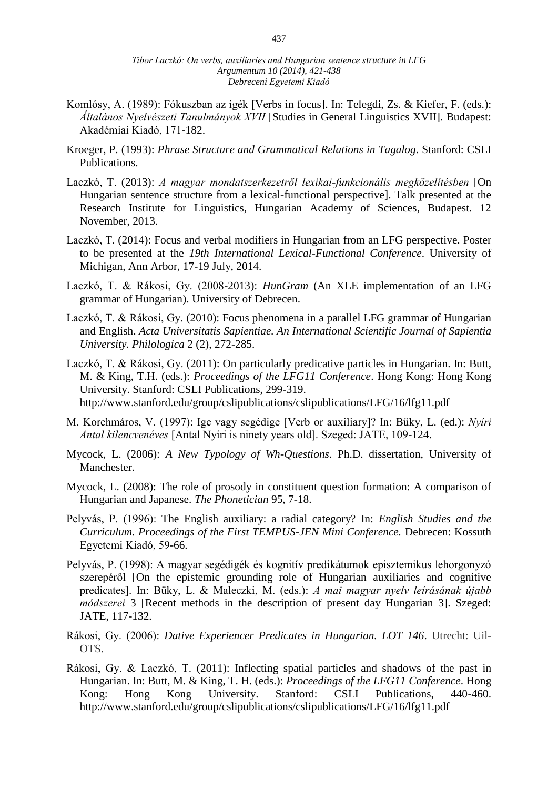- Komlósy, A. (1989): Fókuszban az igék [Verbs in focus]. In: Telegdi, Zs. & Kiefer, F. (eds.): *Általános Nyelvészeti Tanulmányok XVII* [Studies in General Linguistics XVII]. Budapest: Akadémiai Kiadó, 171-182.
- Kroeger, P. (1993): *Phrase Structure and Grammatical Relations in Tagalog*. Stanford: CSLI Publications.
- Laczkó, T. (2013): *A magyar mondatszerkezetről lexikai-funkcionális megközelítésben* [On Hungarian sentence structure from a lexical-functional perspective]. Talk presented at the Research Institute for Linguistics, Hungarian Academy of Sciences, Budapest. 12 November, 2013.
- Laczkó, T. (2014): Focus and verbal modifiers in Hungarian from an LFG perspective. Poster to be presented at the *19th International Lexical-Functional Conference*. University of Michigan, Ann Arbor, 17-19 July, 2014.
- Laczkó, T. & Rákosi, Gy. (2008-2013): *HunGram* (An XLE implementation of an LFG grammar of Hungarian). University of Debrecen.
- Laczkó, T. & Rákosi, Gy. (2010): Focus phenomena in a parallel LFG grammar of Hungarian and English. *Acta Universitatis Sapientiae. An International Scientific Journal of Sapientia University. Philologica* 2 (2), 272-285.
- Laczkó, T. & Rákosi, Gy. (2011): On particularly predicative particles in Hungarian. In: Butt, M. & King, T.H. (eds.): *Proceedings of the LFG11 Conference*. Hong Kong: Hong Kong University. Stanford: CSLI Publications, 299-319. http://www.stanford.edu/group/cslipublications/cslipublications/LFG/16/lfg11.pdf
- M. Korchmáros, V. (1997): Ige vagy segédige [Verb or auxiliary]? In: Büky, L. (ed.): *Nyíri Antal kilencvenéves* [Antal Nyíri is ninety years old]. Szeged: JATE, 109-124.
- Mycock, L. (2006): *A New Typology of Wh-Questions*. Ph.D. dissertation, University of Manchester.
- Mycock, L. (2008): The role of prosody in constituent question formation: A comparison of Hungarian and Japanese. *The Phonetician* 95, 7-18.
- Pelyvás, P. (1996): The English auxiliary: a radial category? In: *English Studies and the Curriculum. Proceedings of the First TEMPUS-JEN Mini Conference.* Debrecen: Kossuth Egyetemi Kiadó, 59-66.
- Pelyvás, P. (1998): A magyar segédigék és kognitív predikátumok episztemikus lehorgonyzó szerepéről [On the epistemic grounding role of Hungarian auxiliaries and cognitive predicates]. In: Büky, L. & Maleczki, M. (eds.): *A mai magyar nyelv leírásának újabb módszerei* 3 [Recent methods in the description of present day Hungarian 3]. Szeged: JATE, 117-132.
- Rákosi, Gy. (2006): *Dative Experiencer Predicates in Hungarian. LOT 146*. Utrecht: Uil-OTS.
- Rákosi, Gy. & Laczkó, T. (2011): Inflecting spatial particles and shadows of the past in Hungarian. In: Butt, M. & King, T. H. (eds.): *Proceedings of the LFG11 Conference*. Hong Kong: Hong Kong University. Stanford: CSLI Publications, 440-460. http://www.stanford.edu/group/cslipublications/cslipublications/LFG/16/lfg11.pdf